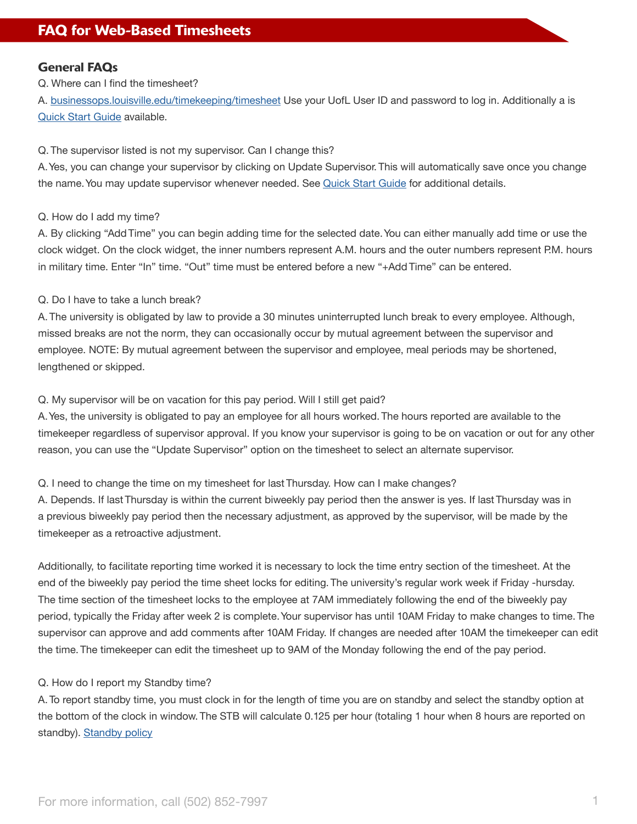# General FAQs

Q. Where can I find the timesheet?

A. [businessops.louisville.edu/timekeeping/timesheet](http://businessops.louisville.edu/timekeeping/timesheet) Use your UofL User ID and password to log in. Additionally a is [Quick Start Guide](https://louisville.edu/businessoperations/informational-resources) available.

### Q. The supervisor listed is not my supervisor. Can I change this?

A. Yes, you can change your supervisor by clicking on Update Supervisor. This will automatically save once you change the name. You may update supervisor whenever needed. See [Quick Start Guide](https://louisville.edu/businessoperations/informational-resources) for additional details.

### Q. How do I add my time?

A. By clicking "Add Time" you can begin adding time for the selected date. You can either manually add time or use the clock widget. On the clock widget, the inner numbers represent A.M. hours and the outer numbers represent P.M. hours in military time. Enter "In" time. "Out" time must be entered before a new "+Add Time" can be entered.

### Q. Do I have to take a lunch break?

A. The university is obligated by law to provide a 30 minutes uninterrupted lunch break to every employee. Although, missed breaks are not the norm, they can occasionally occur by mutual agreement between the supervisor and employee. NOTE: By mutual agreement between the supervisor and employee, meal periods may be shortened, lengthened or skipped.

#### Q. My supervisor will be on vacation for this pay period. Will I still get paid?

A. Yes, the university is obligated to pay an employee for all hours worked. The hours reported are available to the timekeeper regardless of supervisor approval. If you know your supervisor is going to be on vacation or out for any other reason, you can use the "Update Supervisor" option on the timesheet to select an alternate supervisor.

Q. I need to change the time on my timesheet for last Thursday. How can I make changes?

A. Depends. If last Thursday is within the current biweekly pay period then the answer is yes. If last Thursday was in a previous biweekly pay period then the necessary adjustment, as approved by the supervisor, will be made by the timekeeper as a retroactive adjustment.

Additionally, to facilitate reporting time worked it is necessary to lock the time entry section of the timesheet. At the end of the biweekly pay period the time sheet locks for editing. The university's regular work week if Friday -hursday. The time section of the timesheet locks to the employee at 7AM immediately following the end of the biweekly pay period, typically the Friday after week 2 is complete. Your supervisor has until 10AM Friday to make changes to time. The supervisor can approve and add comments after 10AM Friday. If changes are needed after 10AM the timekeeper can edit the time. The timekeeper can edit the timesheet up to 9AM of the Monday following the end of the pay period.

### Q. How do I report my Standby time?

A. To report standby time, you must clock in for the length of time you are on standby and select the standby option at the bottom of the clock in window. The STB will calculate 0.125 per hour (totaling 1 hour when 8 hours are reported on standby). [Standby policy](https://sharepoint.louisville.edu/sites/policies/library/SitePages/Human%20Resources/Stand-by%20Pay.aspx)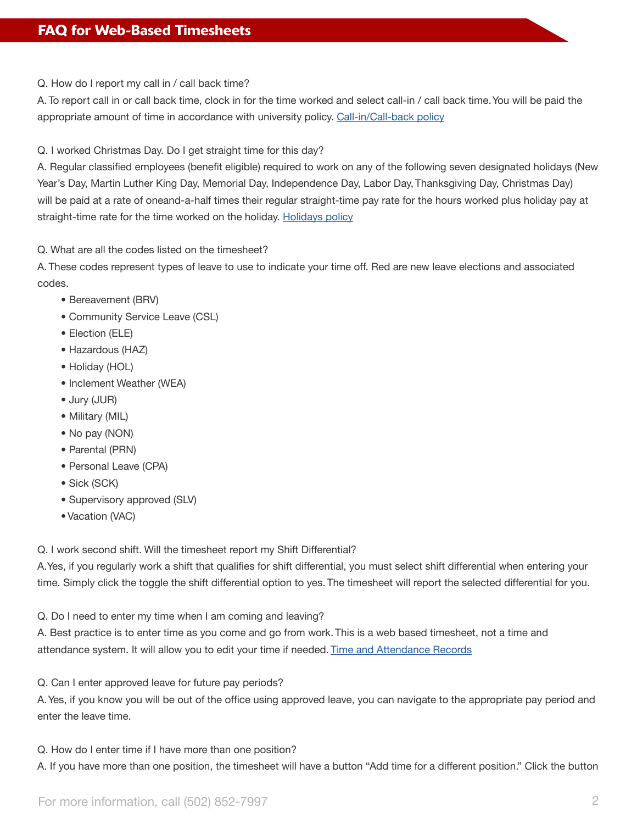Q. How do I report my call in / call back time?

A. To report call in or call back time, clock in for the time worked and select call-in / call back time. You will be paid the appropriate amount of time in accordance with university policy. [Call-in/Call-back policy](https://sharepoint.louisville.edu/sites/policies/library/SitePages/Human%20Resources/Call-In%20-%20Call-Back%20Pay.aspx)

Q. I worked Christmas Day. Do I get straight time for this day?

A. Regular classified employees (benefit eligible) required to work on any of the following seven designated holidays (New Year's Day, Martin Luther King Day, Memorial Day, Independence Day, Labor Day, Thanksgiving Day, Christmas Day) will be paid at a rate of oneand-a-half times their regular straight-time pay rate for the hours worked plus holiday pay at straight-time rate for the time worked on the holiday. [Holidays policy](https://sharepoint.louisville.edu/sites/policies/library/SitePages/Human%20Resources/Holidays.aspx)

Q. What are all the codes listed on the timesheet?

A. These codes represent types of leave to use to indicate your time off. Red are new leave elections and associated codes.

- Bereavement (BRV)
- Community Service Leave (CSL)
- Election (ELE)
- Hazardous (HAZ)
- Holiday (HOL)
- Inclement Weather (WEA)
- Jury (JUR)
- Military (MIL)
- No pay (NON)
- Parental (PRN)
- Personal Leave (CPA)
- Sick (SCK)
- Supervisory approved (SLV)
- Vacation (VAC)

Q. I work second shift. Will the timesheet report my Shift Differential?

A.Yes, if you regularly work a shift that qualifies for shift differential, you must select shift differential when entering your time. Simply click the toggle the shift differential option to yes. The timesheet will report the selected differential for you.

Q. Do I need to enter my time when I am coming and leaving?

A. Best practice is to enter time as you come and go from work. This is a web based timesheet, not a time and attendance system. It will allow you to edit your time if needed. [Time and Attendance Records](https://sharepoint.louisville.edu/sites/policies/library/SitePages/Human%20Resources/Time%20and%20Attendance%20Records.aspx)

Q. Can I enter approved leave for future pay periods?

A. Yes, if you know you will be out of the office using approved leave, you can navigate to the appropriate pay period and enter the leave time.

Q. How do I enter time if I have more than one position?

A. If you have more than one position, the timesheet will have a button "Add time for a different position." Click the button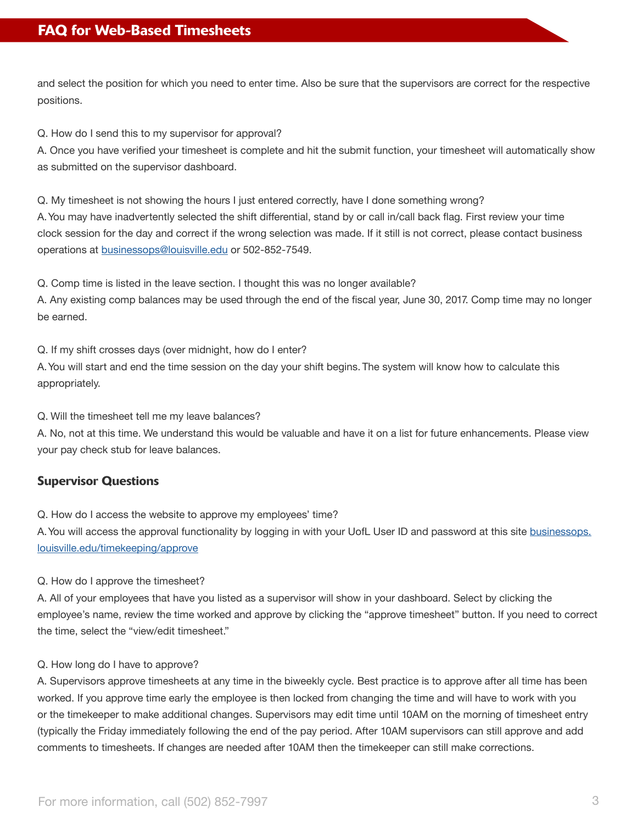and select the position for which you need to enter time. Also be sure that the supervisors are correct for the respective positions.

Q. How do I send this to my supervisor for approval?

A. Once you have verified your timesheet is complete and hit the submit function, your timesheet will automatically show as submitted on the supervisor dashboard.

Q. My timesheet is not showing the hours I just entered correctly, have I done something wrong?

A. You may have inadvertently selected the shift differential, stand by or call in/call back flag. First review your time clock session for the day and correct if the wrong selection was made. If it still is not correct, please contact business operations at [businessops@louisville.edu](http://businessops@louisville.edu) or 502-852-7549.

Q. Comp time is listed in the leave section. I thought this was no longer available?

A. Any existing comp balances may be used through the end of the fiscal year, June 30, 2017. Comp time may no longer be earned.

Q. If my shift crosses days (over midnight, how do I enter?

A. You will start and end the time session on the day your shift begins. The system will know how to calculate this appropriately.

Q. Will the timesheet tell me my leave balances?

A. No, not at this time. We understand this would be valuable and have it on a list for future enhancements. Please view your pay check stub for leave balances.

# Supervisor Questions

Q. How do I access the website to approve my employees' time?

A. You will access the approval functionality by logging in with your UofL User ID and password at this site [businessops.](https://businessops.louisville.edu/timekeeping/approve) [louisville.edu/timekeeping/approve](https://businessops.louisville.edu/timekeeping/approve)

### Q. How do I approve the timesheet?

A. All of your employees that have you listed as a supervisor will show in your dashboard. Select by clicking the employee's name, review the time worked and approve by clicking the "approve timesheet" button. If you need to correct the time, select the "view/edit timesheet."

### Q. How long do I have to approve?

A. Supervisors approve timesheets at any time in the biweekly cycle. Best practice is to approve after all time has been worked. If you approve time early the employee is then locked from changing the time and will have to work with you or the timekeeper to make additional changes. Supervisors may edit time until 10AM on the morning of timesheet entry (typically the Friday immediately following the end of the pay period. After 10AM supervisors can still approve and add comments to timesheets. If changes are needed after 10AM then the timekeeper can still make corrections.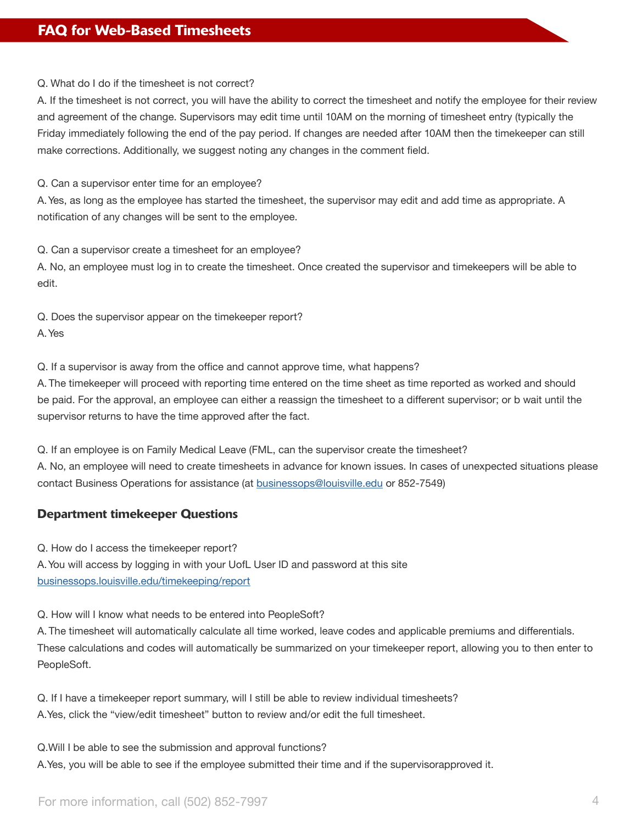Q. What do I do if the timesheet is not correct?

A. If the timesheet is not correct, you will have the ability to correct the timesheet and notify the employee for their review and agreement of the change. Supervisors may edit time until 10AM on the morning of timesheet entry (typically the Friday immediately following the end of the pay period. If changes are needed after 10AM then the timekeeper can still make corrections. Additionally, we suggest noting any changes in the comment field.

Q. Can a supervisor enter time for an employee?

A. Yes, as long as the employee has started the timesheet, the supervisor may edit and add time as appropriate. A notification of any changes will be sent to the employee.

Q. Can a supervisor create a timesheet for an employee?

A. No, an employee must log in to create the timesheet. Once created the supervisor and timekeepers will be able to edit.

Q. Does the supervisor appear on the timekeeper report? A. Yes

Q. If a supervisor is away from the office and cannot approve time, what happens?

A. The timekeeper will proceed with reporting time entered on the time sheet as time reported as worked and should be paid. For the approval, an employee can either a reassign the timesheet to a different supervisor; or b wait until the supervisor returns to have the time approved after the fact.

Q. If an employee is on Family Medical Leave (FML, can the supervisor create the timesheet? A. No, an employee will need to create timesheets in advance for known issues. In cases of unexpected situations please contact Business Operations for assistance (at [businessops@louisville.edu](http://businessops@louisville.edu) or 852-7549)

# Department timekeeper Questions

Q. How do I access the timekeeper report?

A. You will access by logging in with your UofL User ID and password at this site [businessops.louisville.edu/timekeeping/report](https://businessops.louisville.edu/timekeeping/)

Q. How will I know what needs to be entered into PeopleSoft?

A. The timesheet will automatically calculate all time worked, leave codes and applicable premiums and differentials. These calculations and codes will automatically be summarized on your timekeeper report, allowing you to then enter to PeopleSoft.

Q. If I have a timekeeper report summary, will I still be able to review individual timesheets? A.Yes, click the "view/edit timesheet" button to review and/or edit the full timesheet.

Q.Will I be able to see the submission and approval functions? A.Yes, you will be able to see if the employee submitted their time and if the supervisorapproved it.